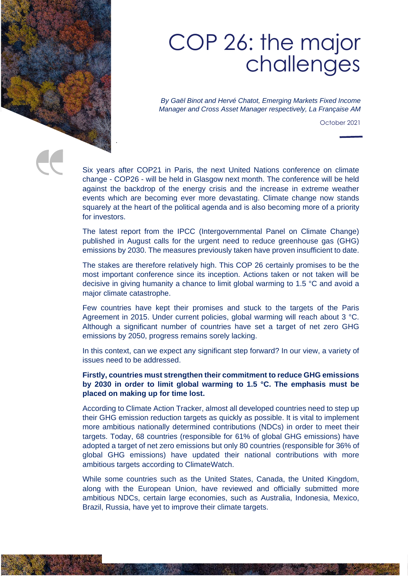

## COP 26: the major challenges

*By Gaël Binot and Hervé Chatot, Emerging Markets Fixed Income Manager and Cross Asset Manager respectively, La Française AM*

October 2021

Six years after COP21 in Paris, the next United Nations conference on climate change - COP26 - will be held in Glasgow next month. The conference will be held against the backdrop of the energy crisis and the increase in extreme weather events which are becoming ever more devastating. Climate change now stands squarely at the heart of the political agenda and is also becoming more of a priority for investors.

The latest report from the IPCC (Intergovernmental Panel on Climate Change) published in August calls for the urgent need to reduce greenhouse gas (GHG) emissions by 2030. The measures previously taken have proven insufficient to date.

The stakes are therefore relatively high. This COP 26 certainly promises to be the most important conference since its inception. Actions taken or not taken will be decisive in giving humanity a chance to limit global warming to 1.5 °C and avoid a major climate catastrophe.

Few countries have kept their promises and stuck to the targets of the Paris Agreement in 2015. Under current policies, global warming will reach about 3 °C. Although a significant number of countries have set a target of net zero GHG emissions by 2050, progress remains sorely lacking.

In this context, can we expect any significant step forward? In our view, a variety of issues need to be addressed.

## **Firstly, countries must strengthen their commitment to reduce GHG emissions by 2030 in order to limit global warming to 1.5 °C. The emphasis must be placed on making up for time lost.**

According to Climate Action Tracker, almost all developed countries need to step up their GHG emission reduction targets as quickly as possible. It is vital to implement more ambitious nationally determined contributions (NDCs) in order to meet their targets. Today, 68 countries (responsible for 61% of global GHG emissions) have adopted a target of net zero emissions but only 80 countries (responsible for 36% of global GHG emissions) have updated their national contributions with more ambitious targets according to ClimateWatch.

While some countries such as the United States, Canada, the United Kingdom, along with the European Union, have reviewed and officially submitted more ambitious NDCs, certain large economies, such as Australia, Indonesia, Mexico, Brazil, Russia, have yet to improve their climate targets.